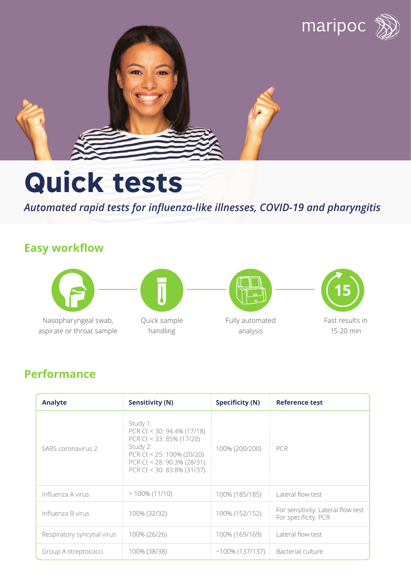

# **Quick tests**

*Automated rapid tests for influenza-like illnesses, COVID-19 and pharyngitis* 

## **Easy workflow**



Nasopharyngeal swab, aspirate or throat sample



Quick sample handling



Fully automated analysis



### **Performance**

| Analyte                     | <b>Sensitivity (N)</b>                                                                                                                                                    | <b>Specificity (N)</b> | <b>Reference test</b>                                      |
|-----------------------------|---------------------------------------------------------------------------------------------------------------------------------------------------------------------------|------------------------|------------------------------------------------------------|
| <b>SARS</b> coronavirus 2   | Study 1:<br>PCR Ct < 30: 94.4% (17/18)<br>PCR Ct < 33: 85% (17/20)<br>Study 2:<br>PCR Ct < $25:100\%$ (20/20)<br>PCR Ct < 28: 90.3% (28/31)<br>PCR Ct < 30: 83.8% (31/37) | 100% (200/200)         | <b>PCR</b>                                                 |
| Influenza A virus           | $> 100\% (11/10)$                                                                                                                                                         | 100% (185/185)         | Lateral flow test                                          |
| Influenza B virus           | 100% (32/32)                                                                                                                                                              | 100% (152/152)         | For sensitivity: Lateral flow test<br>For specificity: PCR |
| Respiratory syncytial virus | 100% (26/26)                                                                                                                                                              | 100% (169/169)         | Lateral flow test                                          |
| Group A streptococci        | 100% (38/38)                                                                                                                                                              | $~100\%$ (137/137)     | Bacterial culture                                          |